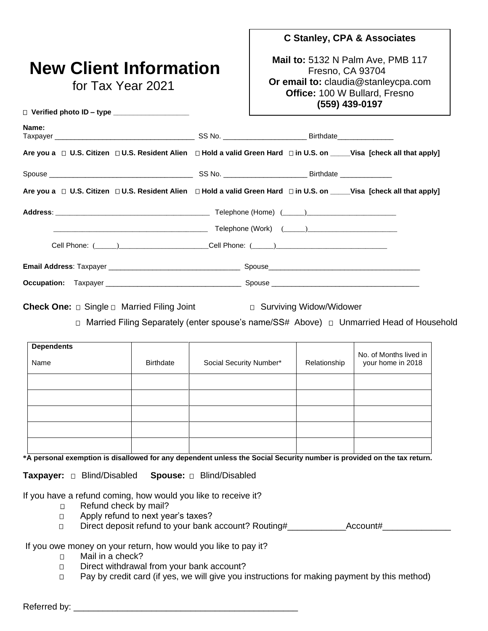# **New Client Information**

for Tax Year 2021

□ Verified photo **ID** – type

#### **C Stanley, CPA & Associates**

**Mail to:** 5132 N Palm Ave, PMB 117 Fresno, CA 93704 **Or email to:** claudia@stanleycpa.com **Office:** 100 W Bullard, Fresno **(559) 439-0197**

| Name: |                                                                                                                       |
|-------|-----------------------------------------------------------------------------------------------------------------------|
|       | Are you a □ U.S. Citizen □ U.S. Resident Alien □ Hold a valid Green Hard □ in U.S. on ____Visa [check all that apply] |
|       |                                                                                                                       |
|       | Are you a □ U.S. Citizen □ U.S. Resident Alien □ Hold a valid Green Hard □ in U.S. on ____Visa [check all that apply] |
|       |                                                                                                                       |
|       |                                                                                                                       |
|       |                                                                                                                       |
|       |                                                                                                                       |
|       |                                                                                                                       |

**Check One:** □ Single □ Married Filing Joint □ Surviving Widow/Widower

Married Filing Separately (enter spouse's name/SS# Above) Unmarried Head of Household

| <b>Dependents</b><br>Name | <b>Birthdate</b> | Social Security Number* | Relationship | No. of Months lived in<br>your home in 2018 |
|---------------------------|------------------|-------------------------|--------------|---------------------------------------------|
|                           |                  |                         |              |                                             |
|                           |                  |                         |              |                                             |
|                           |                  |                         |              |                                             |
|                           |                  |                         |              |                                             |
|                           |                  |                         |              |                                             |

**\*A personal exemption is disallowed for any dependent unless the Social Security number is provided on the tax return.**

**Taxpayer:** Blind/Disabled **Spouse:** Blind/Disabled

If you have a refund coming, how would you like to receive it?

- **E** Refund check by mail?
- **D** Apply refund to next year's taxes?
- Direct deposit refund to your bank account? Routing#\_\_\_\_\_\_\_\_\_\_\_\_Account#\_\_\_\_\_\_\_\_\_\_\_\_\_\_

#### If you owe money on your return, how would you like to pay it?

- **D** Mail in a check?
- **D** Direct withdrawal from your bank account?
- □ Pay by credit card (if yes, we will give you instructions for making payment by this method)

Referred by:  $\blacksquare$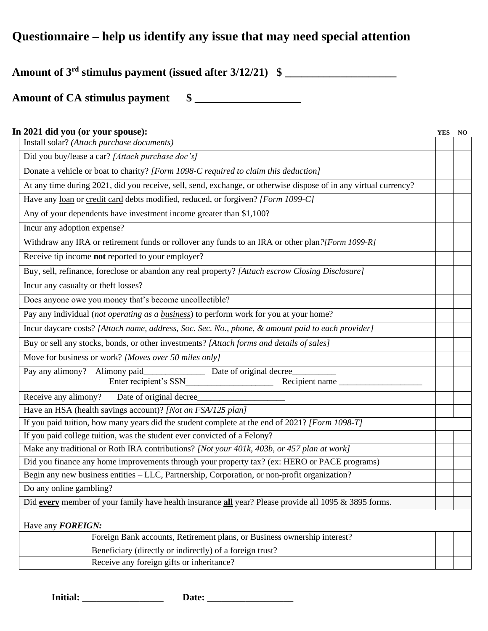### **Questionnaire – help us identify any issue that may need special attention**

**Amount of 3rd stimulus payment (issued after 3/12/21) \$ \_\_\_\_\_\_\_\_\_\_\_\_\_\_\_\_\_\_\_\_**

**Amount of CA stimulus payment \$ \_\_\_\_\_\_\_\_\_\_\_\_\_\_\_\_\_\_\_**

| In 2021 did you (or your spouse):                                                                                | <b>YES</b> | NO |
|------------------------------------------------------------------------------------------------------------------|------------|----|
| Install solar? (Attach purchase documents)                                                                       |            |    |
| Did you buy/lease a car? [Attach purchase doc's]                                                                 |            |    |
| Donate a vehicle or boat to charity? [Form 1098-C required to claim this deduction]                              |            |    |
| At any time during 2021, did you receive, sell, send, exchange, or otherwise dispose of in any virtual currency? |            |    |
| Have any loan or credit card debts modified, reduced, or forgiven? [Form 1099-C]                                 |            |    |
| Any of your dependents have investment income greater than \$1,100?                                              |            |    |
| Incur any adoption expense?                                                                                      |            |    |
| Withdraw any IRA or retirement funds or rollover any funds to an IRA or other plan?[Form 1099-R]                 |            |    |
| Receive tip income not reported to your employer?                                                                |            |    |
| Buy, sell, refinance, foreclose or abandon any real property? [Attach escrow Closing Disclosure]                 |            |    |
| Incur any casualty or theft losses?                                                                              |            |    |
| Does anyone owe you money that's become uncollectible?                                                           |            |    |
| Pay any individual (not operating as a business) to perform work for you at your home?                           |            |    |
| Incur daycare costs? [Attach name, address, Soc. Sec. No., phone, & amount paid to each provider]                |            |    |
| Buy or sell any stocks, bonds, or other investments? [Attach forms and details of sales]                         |            |    |
| Move for business or work? [Moves over 50 miles only]                                                            |            |    |
| Pay any alimony? Alimony paid_<br>Date of original decree                                                        |            |    |
| Enter recipient's SSN<br>Recipient name                                                                          |            |    |
| Receive any alimony?<br>Date of original decree                                                                  |            |    |
| Have an HSA (health savings account)? [Not an FSA/125 plan]                                                      |            |    |
| If you paid tuition, how many years did the student complete at the end of 2021? [Form 1098-T]                   |            |    |
| If you paid college tuition, was the student ever convicted of a Felony?                                         |            |    |
| Make any traditional or Roth IRA contributions? [Not your 401k, 403b, or 457 plan at work]                       |            |    |
| Did you finance any home improvements through your property tax? (ex: HERO or PACE programs)                     |            |    |
| Begin any new business entities - LLC, Partnership, Corporation, or non-profit organization?                     |            |    |
| Do any online gambling?                                                                                          |            |    |
| Did every member of your family have health insurance all year? Please provide all 1095 & 3895 forms.            |            |    |
| Have any <b>FOREIGN:</b>                                                                                         |            |    |
| Foreign Bank accounts, Retirement plans, or Business ownership interest?                                         |            |    |
| Beneficiary (directly or indirectly) of a foreign trust?                                                         |            |    |
| Receive any foreign gifts or inheritance?                                                                        |            |    |
|                                                                                                                  |            |    |

**Initial: \_\_\_\_\_\_\_\_\_\_\_\_\_\_\_\_\_ Date: \_\_\_\_\_\_\_\_\_\_\_\_\_\_\_\_\_\_**